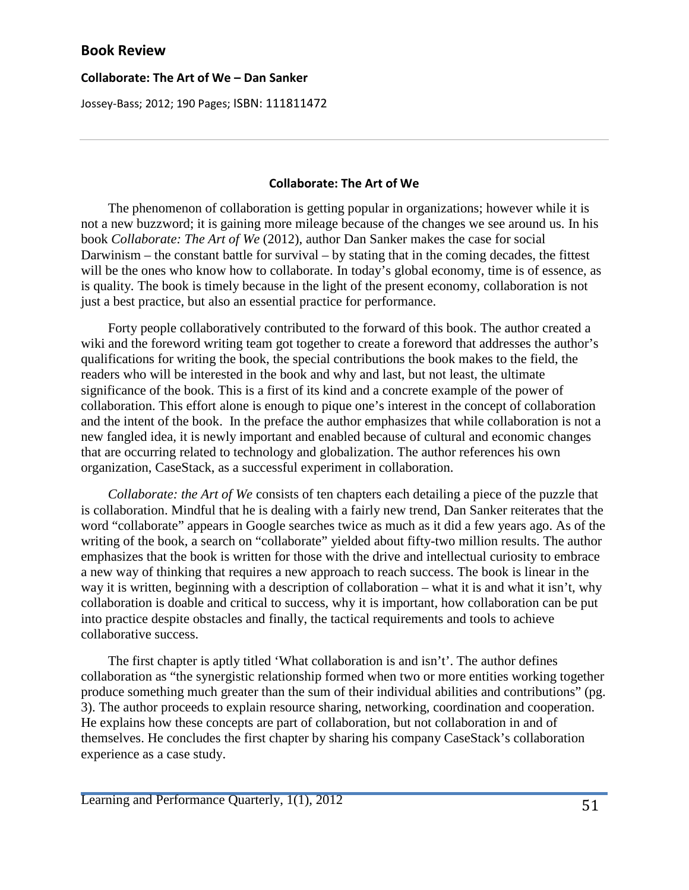## **Collaborate: The Art of We – Dan Sanker**

Jossey-Bass; 2012; 190 Pages; ISBN: 111811472

## **Collaborate: The Art of We**

 The phenomenon of collaboration is getting popular in organizations; however while it is not a new buzzword; it is gaining more mileage because of the changes we see around us. In his book *Collaborate: The Art of We* (2012), author Dan Sanker makes the case for social Darwinism – the constant battle for survival – by stating that in the coming decades, the fittest will be the ones who know how to collaborate. In today's global economy, time is of essence, as is quality. The book is timely because in the light of the present economy, collaboration is not just a best practice, but also an essential practice for performance.

 Forty people collaboratively contributed to the forward of this book. The author created a wiki and the foreword writing team got together to create a foreword that addresses the author's qualifications for writing the book, the special contributions the book makes to the field, the readers who will be interested in the book and why and last, but not least, the ultimate significance of the book. This is a first of its kind and a concrete example of the power of collaboration. This effort alone is enough to pique one's interest in the concept of collaboration and the intent of the book. In the preface the author emphasizes that while collaboration is not a new fangled idea, it is newly important and enabled because of cultural and economic changes that are occurring related to technology and globalization. The author references his own organization, CaseStack, as a successful experiment in collaboration.

 *Collaborate: the Art of We* consists of ten chapters each detailing a piece of the puzzle that is collaboration. Mindful that he is dealing with a fairly new trend, Dan Sanker reiterates that the word "collaborate" appears in Google searches twice as much as it did a few years ago. As of the writing of the book, a search on "collaborate" yielded about fifty-two million results. The author emphasizes that the book is written for those with the drive and intellectual curiosity to embrace a new way of thinking that requires a new approach to reach success. The book is linear in the way it is written, beginning with a description of collaboration – what it is and what it isn't, why collaboration is doable and critical to success, why it is important, how collaboration can be put into practice despite obstacles and finally, the tactical requirements and tools to achieve collaborative success.

 The first chapter is aptly titled 'What collaboration is and isn't'. The author defines collaboration as "the synergistic relationship formed when two or more entities working together produce something much greater than the sum of their individual abilities and contributions" (pg. 3). The author proceeds to explain resource sharing, networking, coordination and cooperation. He explains how these concepts are part of collaboration, but not collaboration in and of themselves. He concludes the first chapter by sharing his company CaseStack's collaboration experience as a case study.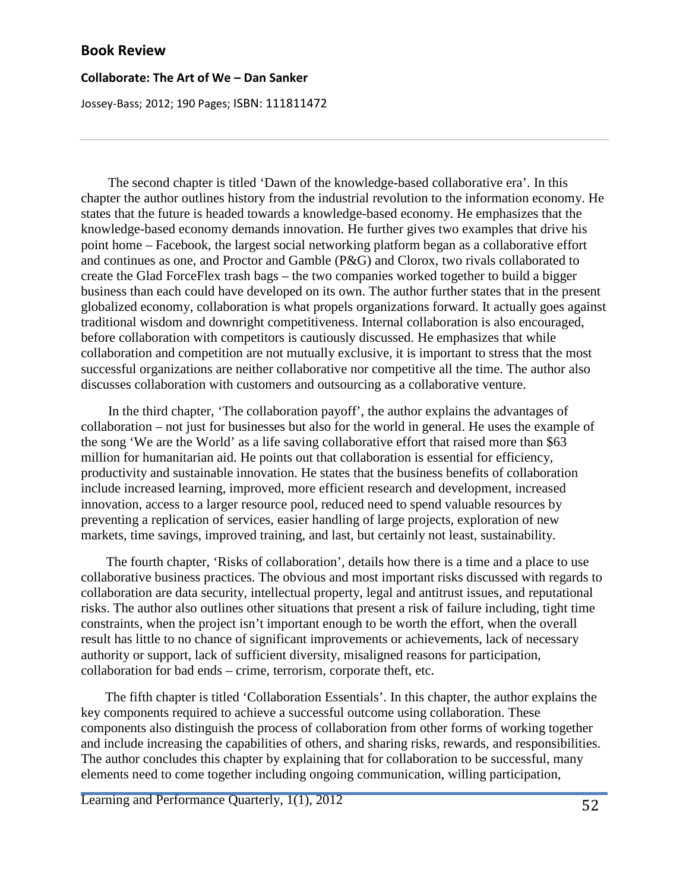#### **Collaborate: The Art of We – Dan Sanker**

Jossey-Bass; 2012; 190 Pages; ISBN: 111811472

 The second chapter is titled 'Dawn of the knowledge-based collaborative era'. In this chapter the author outlines history from the industrial revolution to the information economy. He states that the future is headed towards a knowledge-based economy. He emphasizes that the knowledge-based economy demands innovation. He further gives two examples that drive his point home – Facebook, the largest social networking platform began as a collaborative effort and continues as one, and Proctor and Gamble (P&G) and Clorox, two rivals collaborated to create the Glad ForceFlex trash bags – the two companies worked together to build a bigger business than each could have developed on its own. The author further states that in the present globalized economy, collaboration is what propels organizations forward. It actually goes against traditional wisdom and downright competitiveness. Internal collaboration is also encouraged, before collaboration with competitors is cautiously discussed. He emphasizes that while collaboration and competition are not mutually exclusive, it is important to stress that the most successful organizations are neither collaborative nor competitive all the time. The author also discusses collaboration with customers and outsourcing as a collaborative venture.

 In the third chapter, 'The collaboration payoff', the author explains the advantages of collaboration – not just for businesses but also for the world in general. He uses the example of the song 'We are the World' as a life saving collaborative effort that raised more than \$63 million for humanitarian aid. He points out that collaboration is essential for efficiency, productivity and sustainable innovation. He states that the business benefits of collaboration include increased learning, improved, more efficient research and development, increased innovation, access to a larger resource pool, reduced need to spend valuable resources by preventing a replication of services, easier handling of large projects, exploration of new markets, time savings, improved training, and last, but certainly not least, sustainability.

 The fourth chapter, 'Risks of collaboration', details how there is a time and a place to use collaborative business practices. The obvious and most important risks discussed with regards to collaboration are data security, intellectual property, legal and antitrust issues, and reputational risks. The author also outlines other situations that present a risk of failure including, tight time constraints, when the project isn't important enough to be worth the effort, when the overall result has little to no chance of significant improvements or achievements, lack of necessary authority or support, lack of sufficient diversity, misaligned reasons for participation, collaboration for bad ends – crime, terrorism, corporate theft, etc.

 The fifth chapter is titled 'Collaboration Essentials'. In this chapter, the author explains the key components required to achieve a successful outcome using collaboration. These components also distinguish the process of collaboration from other forms of working together and include increasing the capabilities of others, and sharing risks, rewards, and responsibilities. The author concludes this chapter by explaining that for collaboration to be successful, many elements need to come together including ongoing communication, willing participation,

Learning and Performance Quarterly, 1(1), 2012 52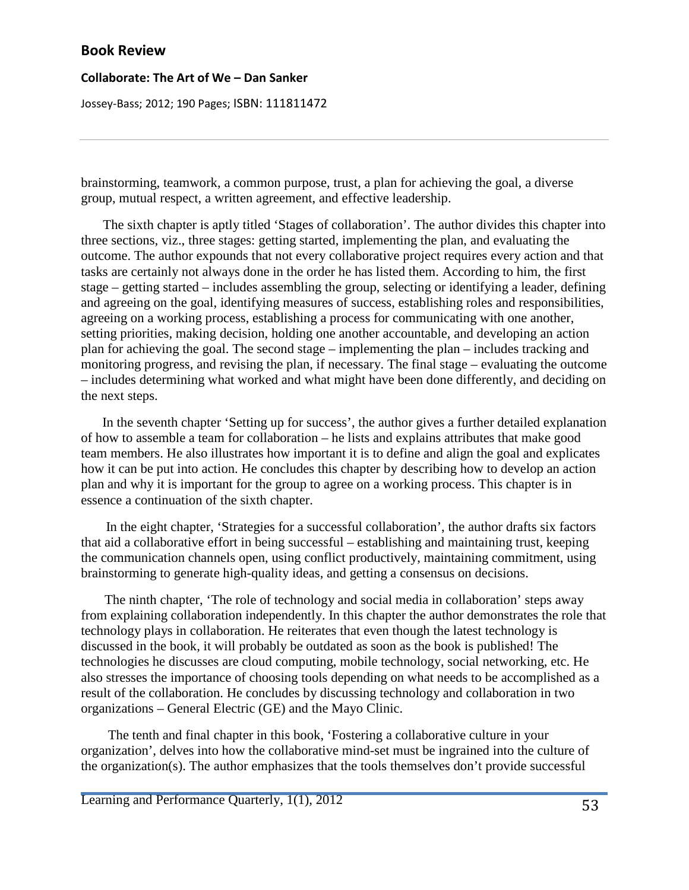#### **Collaborate: The Art of We – Dan Sanker**

Jossey-Bass; 2012; 190 Pages; ISBN: 111811472

brainstorming, teamwork, a common purpose, trust, a plan for achieving the goal, a diverse group, mutual respect, a written agreement, and effective leadership.

 The sixth chapter is aptly titled 'Stages of collaboration'. The author divides this chapter into three sections, viz., three stages: getting started, implementing the plan, and evaluating the outcome. The author expounds that not every collaborative project requires every action and that tasks are certainly not always done in the order he has listed them. According to him, the first stage – getting started – includes assembling the group, selecting or identifying a leader, defining and agreeing on the goal, identifying measures of success, establishing roles and responsibilities, agreeing on a working process, establishing a process for communicating with one another, setting priorities, making decision, holding one another accountable, and developing an action plan for achieving the goal. The second stage – implementing the plan – includes tracking and monitoring progress, and revising the plan, if necessary. The final stage – evaluating the outcome – includes determining what worked and what might have been done differently, and deciding on the next steps.

 In the seventh chapter 'Setting up for success', the author gives a further detailed explanation of how to assemble a team for collaboration – he lists and explains attributes that make good team members. He also illustrates how important it is to define and align the goal and explicates how it can be put into action. He concludes this chapter by describing how to develop an action plan and why it is important for the group to agree on a working process. This chapter is in essence a continuation of the sixth chapter.

 In the eight chapter, 'Strategies for a successful collaboration', the author drafts six factors that aid a collaborative effort in being successful – establishing and maintaining trust, keeping the communication channels open, using conflict productively, maintaining commitment, using brainstorming to generate high-quality ideas, and getting a consensus on decisions.

 The ninth chapter, 'The role of technology and social media in collaboration' steps away from explaining collaboration independently. In this chapter the author demonstrates the role that technology plays in collaboration. He reiterates that even though the latest technology is discussed in the book, it will probably be outdated as soon as the book is published! The technologies he discusses are cloud computing, mobile technology, social networking, etc. He also stresses the importance of choosing tools depending on what needs to be accomplished as a result of the collaboration. He concludes by discussing technology and collaboration in two organizations – General Electric (GE) and the Mayo Clinic.

 The tenth and final chapter in this book, 'Fostering a collaborative culture in your organization', delves into how the collaborative mind-set must be ingrained into the culture of the organization(s). The author emphasizes that the tools themselves don't provide successful